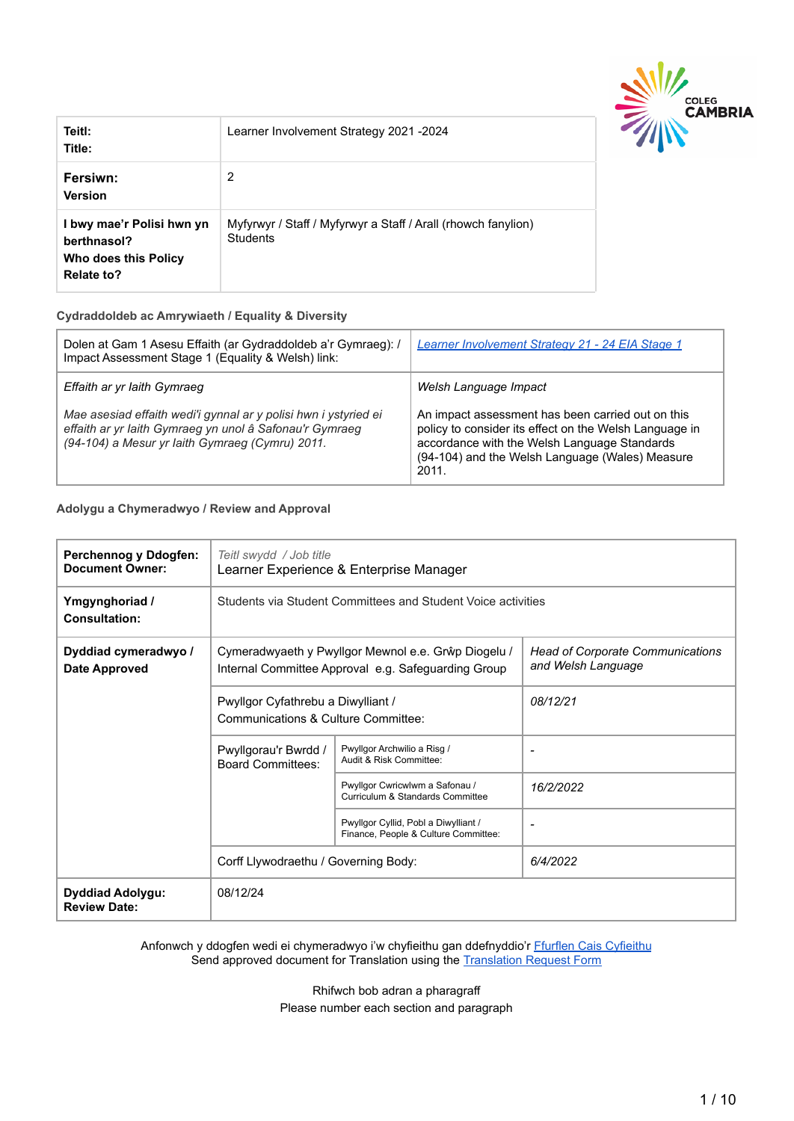

| Teitl:<br>Title:                                                               | Learner Involvement Strategy 2021 - 2024                                         |
|--------------------------------------------------------------------------------|----------------------------------------------------------------------------------|
| Fersiwn:<br><b>Version</b>                                                     | 2                                                                                |
| I bwy mae'r Polisi hwn yn<br>berthnasol?<br>Who does this Policy<br>Relate to? | Myfyrwyr / Staff / Myfyrwyr a Staff / Arall (rhowch fanylion)<br><b>Students</b> |

#### **Cydraddoldeb ac Amrywiaeth / Equality & Diversity**

| Dolen at Gam 1 Asesu Effaith (ar Gydraddoldeb a'r Gymraeg): /<br>Impact Assessment Stage 1 (Equality & Welsh) link:                                                           | Learner Involvement Strategy 21 - 24 EIA Stage 1                                                                                                                                                                        |
|-------------------------------------------------------------------------------------------------------------------------------------------------------------------------------|-------------------------------------------------------------------------------------------------------------------------------------------------------------------------------------------------------------------------|
| Effaith ar yr Iaith Gymraeg                                                                                                                                                   | Welsh Language Impact                                                                                                                                                                                                   |
| Mae asesiad effaith wedi'i gynnal ar y polisi hwn i ystyried ei<br>effaith ar yr laith Gymraeg yn unol â Safonau'r Gymraeg<br>(94-104) a Mesur yr Iaith Gymraeg (Cymru) 2011. | An impact assessment has been carried out on this<br>policy to consider its effect on the Welsh Language in<br>accordance with the Welsh Language Standards<br>(94-104) and the Welsh Language (Wales) Measure<br>2011. |

#### **Adolygu a Chymeradwyo / Review and Approval**

| Perchennog y Ddogfen:<br><b>Document Owner:</b> | Teitl swydd / Job title<br>Learner Experience & Enterprise Manager        |                                                                                                            |                                                               |  |  |  |
|-------------------------------------------------|---------------------------------------------------------------------------|------------------------------------------------------------------------------------------------------------|---------------------------------------------------------------|--|--|--|
| Ymgynghoriad /<br><b>Consultation:</b>          | Students via Student Committees and Student Voice activities              |                                                                                                            |                                                               |  |  |  |
| Dyddiad cymeradwyo /<br><b>Date Approved</b>    |                                                                           | Cymeradwyaeth y Pwyllgor Mewnol e.e. Grŵp Diogelu /<br>Internal Committee Approval e.g. Safeguarding Group | <b>Head of Corporate Communications</b><br>and Welsh Language |  |  |  |
|                                                 | Pwyllgor Cyfathrebu a Diwylliant /<br>Communications & Culture Committee: |                                                                                                            | 08/12/21                                                      |  |  |  |
|                                                 | Pwyllgorau'r Bwrdd /<br><b>Board Committees:</b>                          | Pwyllgor Archwilio a Risg /<br>Audit & Risk Committee:                                                     | ٠                                                             |  |  |  |
|                                                 |                                                                           | Pwyllgor Cwricwlwm a Safonau /<br>Curriculum & Standards Committee                                         | 16/2/2022                                                     |  |  |  |
|                                                 |                                                                           | Pwyllgor Cyllid, Pobl a Diwylliant /<br>Finance, People & Culture Committee:                               | ۰                                                             |  |  |  |
|                                                 | Corff Llywodraethu / Governing Body:                                      |                                                                                                            | 6/4/2022                                                      |  |  |  |
| <b>Dyddiad Adolygu:</b><br><b>Review Date:</b>  | 08/12/24                                                                  |                                                                                                            |                                                               |  |  |  |

Anfonwch y ddogfen wedi ei chymeradwyo i'w chyfieithu gan ddefnyddio'r [Ffurflen Cais Cyfieithu](https://staff.cambria.ac.uk/translation-request-form/) Send approved document for Translation using the Translation [Request Form](https://staff.cambria.ac.uk/translation-request-form/)

> Rhifwch bob adran a pharagraff Please number each section and paragraph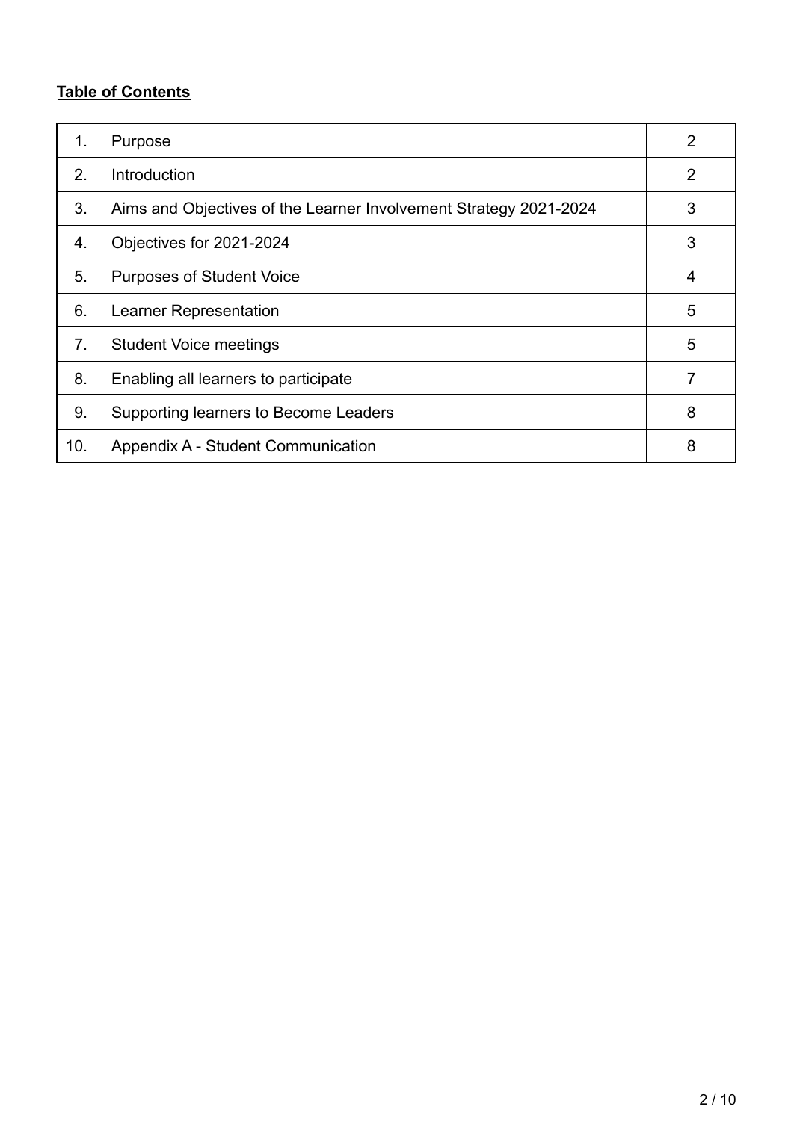# **Table of Contents**

| 1.  | Purpose                                                           | $\overline{2}$ |
|-----|-------------------------------------------------------------------|----------------|
| 2.  | Introduction                                                      | 2              |
| 3.  | Aims and Objectives of the Learner Involvement Strategy 2021-2024 | 3              |
| 4.  | Objectives for 2021-2024                                          | 3              |
| 5.  | <b>Purposes of Student Voice</b>                                  | 4              |
| 6.  | Learner Representation                                            | 5              |
| 7.  | <b>Student Voice meetings</b>                                     | 5              |
| 8.  | Enabling all learners to participate                              | 7              |
| 9.  | Supporting learners to Become Leaders                             | 8              |
| 10. | Appendix A - Student Communication                                | 8              |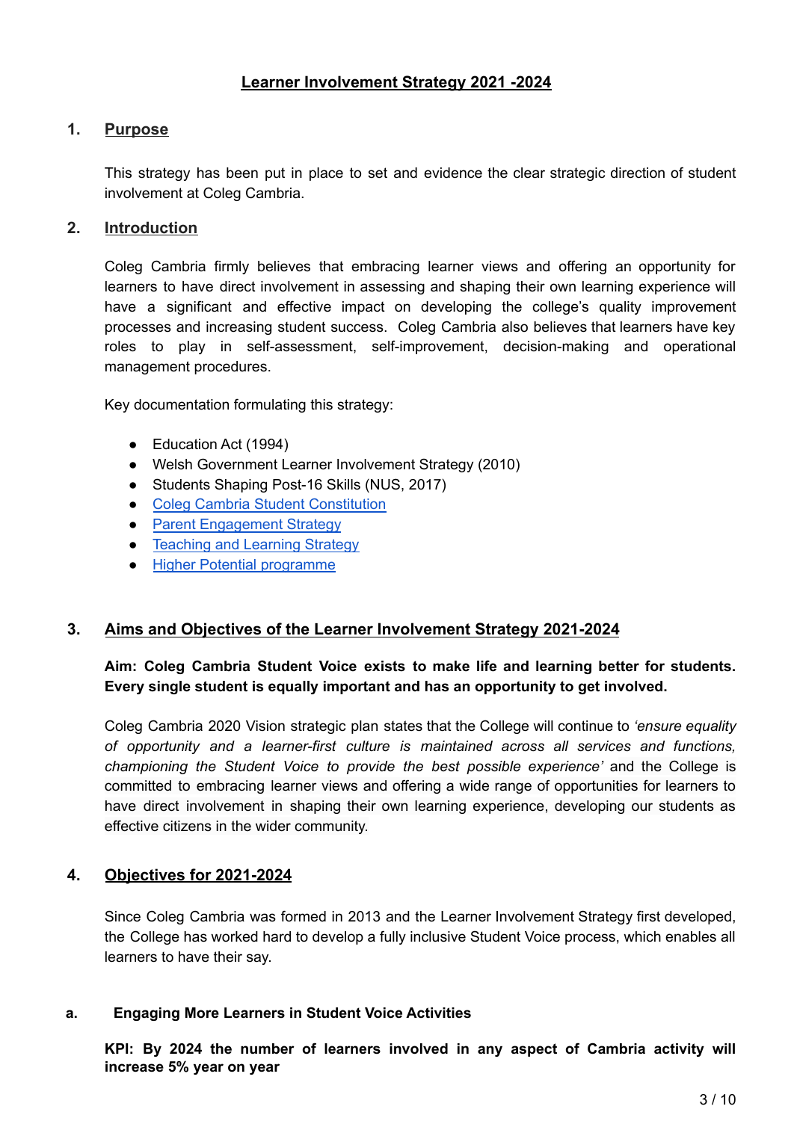# **1. Purpose**

This strategy has been put in place to set and evidence the clear strategic direction of student involvement at Coleg Cambria.

#### **2. Introduction**

Coleg Cambria firmly believes that embracing learner views and offering an opportunity for learners to have direct involvement in assessing and shaping their own learning experience will have a significant and effective impact on developing the college's quality improvement processes and increasing student success. Coleg Cambria also believes that learners have key roles to play in self-assessment, self-improvement, decision-making and operational management procedures.

Key documentation formulating this strategy:

- Education Act (1994)
- Welsh Government Learner Involvement Strategy (2010)
- Students Shaping Post-16 Skills (NUS, 2017)
- Coleg Cambria Student [Constitution](https://drive.google.com/file/d/1YVNiEHTczkfm5UGDs2qqzSm16qwlPznV/view?usp=sharing)
- Parent [Engagement](https://drive.google.com/open?id=1pxTWNPvMHueme19_JNkRwlce34s1b24oClZ7mGJOfvg) Strategy
- [Teaching](https://drive.google.com/file/d/1fNQncrQaV_d0qLRHP08pt_iLB7GC8bHh/view?usp=sharing) and Learning Strategy
- Higher Potential [programme](https://drive.google.com/file/d/1Q7qTcn3gyj3lC3_9aqZkvq3GVdpvQKZ6/view?usp=sharing)

### **3. Aims and Objectives of the Learner Involvement Strategy 2021-2024**

### **Aim: Coleg Cambria Student Voice exists to make life and learning better for students. Every single student is equally important and has an opportunity to get involved.**

Coleg Cambria 2020 Vision strategic plan states that the College will continue to *'ensure equality of opportunity and a learner-first culture is maintained across all services and functions, championing the Student Voice to provide the best possible experience'* and the College is committed to embracing learner views and offering a wide range of opportunities for learners to have direct involvement in shaping their own learning experience, developing our students as effective citizens in the wider community.

### **4. Objectives for 2021-2024**

Since Coleg Cambria was formed in 2013 and the Learner Involvement Strategy first developed, the College has worked hard to develop a fully inclusive Student Voice process, which enables all learners to have their say.

#### **a. Engaging More Learners in Student Voice Activities**

**KPI: By 2024 the number of learners involved in any aspect of Cambria activity will increase 5% year on year**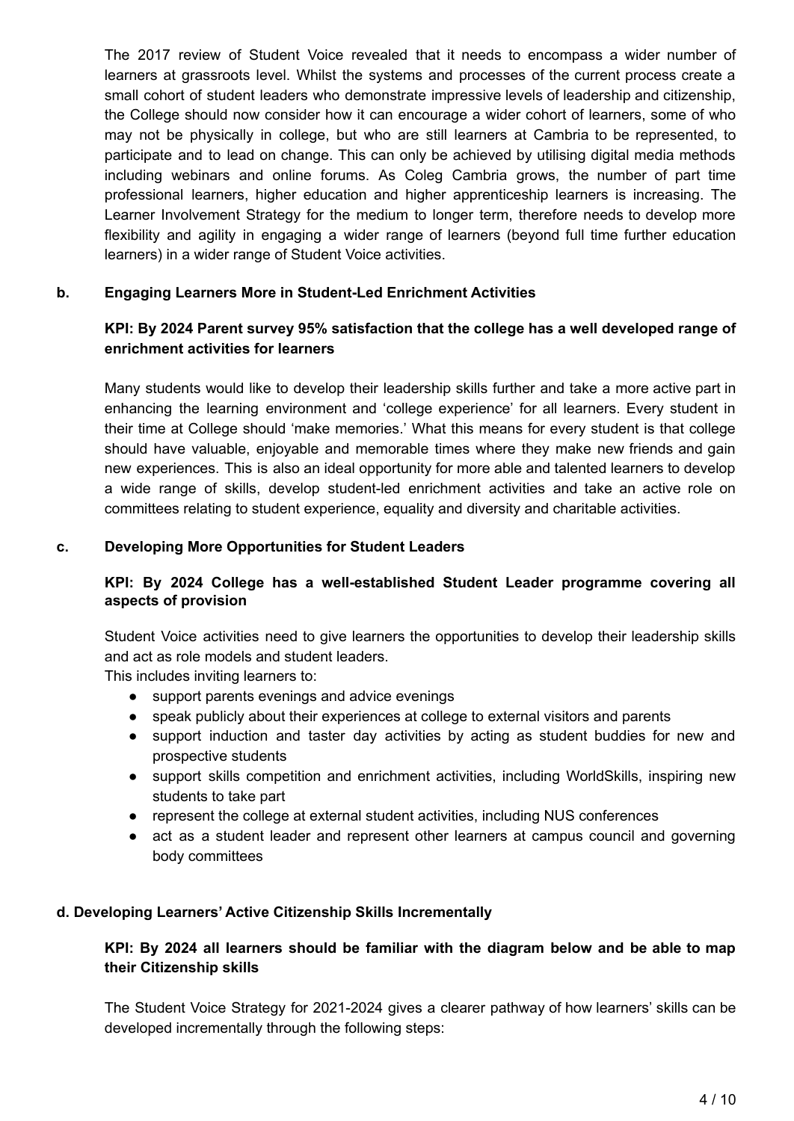The 2017 review of Student Voice revealed that it needs to encompass a wider number of learners at grassroots level. Whilst the systems and processes of the current process create a small cohort of student leaders who demonstrate impressive levels of leadership and citizenship, the College should now consider how it can encourage a wider cohort of learners, some of who may not be physically in college, but who are still learners at Cambria to be represented, to participate and to lead on change. This can only be achieved by utilising digital media methods including webinars and online forums. As Coleg Cambria grows, the number of part time professional learners, higher education and higher apprenticeship learners is increasing. The Learner Involvement Strategy for the medium to longer term, therefore needs to develop more flexibility and agility in engaging a wider range of learners (beyond full time further education learners) in a wider range of Student Voice activities.

### **b. Engaging Learners More in Student-Led Enrichment Activities**

## **KPI: By 2024 Parent survey 95% satisfaction that the college has a well developed range of enrichment activities for learners**

Many students would like to develop their leadership skills further and take a more active part in enhancing the learning environment and 'college experience' for all learners. Every student in their time at College should 'make memories.' What this means for every student is that college should have valuable, enjoyable and memorable times where they make new friends and gain new experiences. This is also an ideal opportunity for more able and talented learners to develop a wide range of skills, develop student-led enrichment activities and take an active role on committees relating to student experience, equality and diversity and charitable activities.

#### **c. Developing More Opportunities for Student Leaders**

### **KPI: By 2024 College has a well-established Student Leader programme covering all aspects of provision**

Student Voice activities need to give learners the opportunities to develop their leadership skills and act as role models and student leaders.

This includes inviting learners to:

- support parents evenings and advice evenings
- speak publicly about their experiences at college to external visitors and parents
- support induction and taster day activities by acting as student buddies for new and prospective students
- support skills competition and enrichment activities, including WorldSkills, inspiring new students to take part
- represent the college at external student activities, including NUS conferences
- act as a student leader and represent other learners at campus council and governing body committees

#### **d. Developing Learners' Active Citizenship Skills Incrementally**

### **KPI: By 2024 all learners should be familiar with the diagram below and be able to map their Citizenship skills**

The Student Voice Strategy for 2021-2024 gives a clearer pathway of how learners' skills can be developed incrementally through the following steps: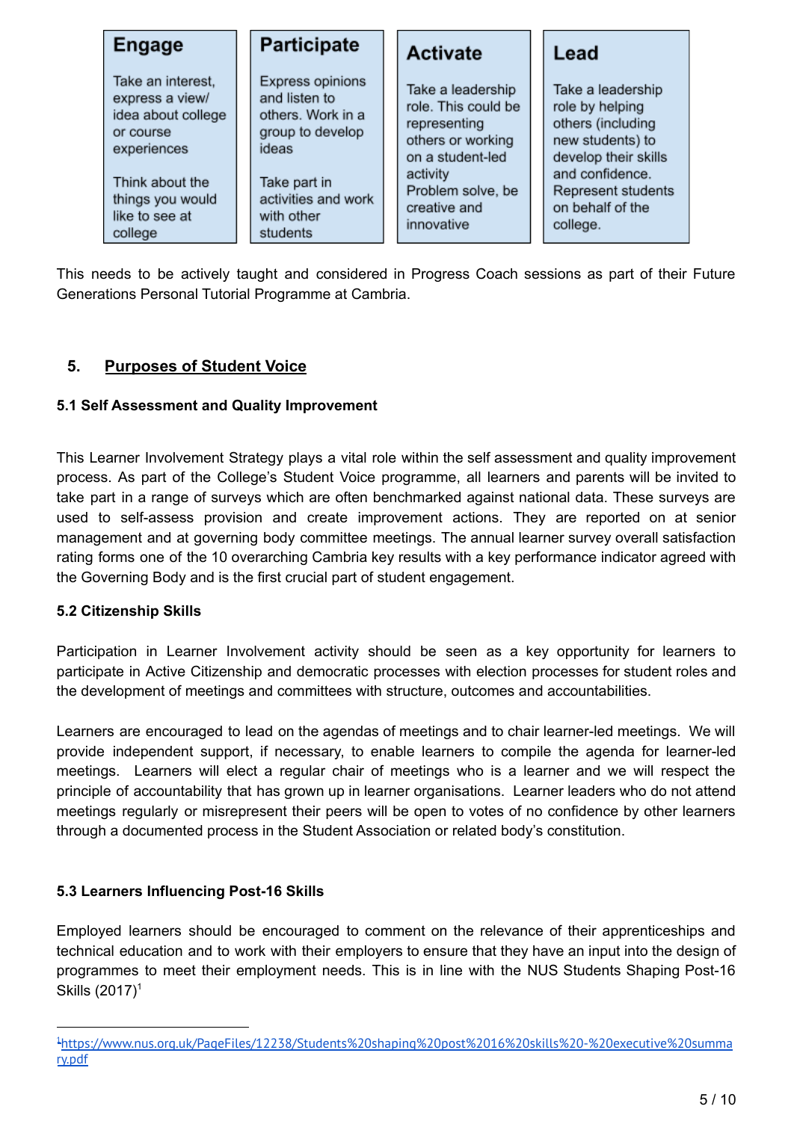| <b>Engage</b>                                                                                                                                   | <b>Participate</b>                                                                                                                       | <b>Activate</b>                                                                                                                                    | Lead                                                                                                                                                               |  |
|-------------------------------------------------------------------------------------------------------------------------------------------------|------------------------------------------------------------------------------------------------------------------------------------------|----------------------------------------------------------------------------------------------------------------------------------------------------|--------------------------------------------------------------------------------------------------------------------------------------------------------------------|--|
| Take an interest,<br>express a view/<br>idea about college<br>or course<br>experiences<br>Think about the<br>things you would<br>like to see at | Express opinions<br>and listen to<br>others. Work in a<br>group to develop<br>ideas<br>Take part in<br>activities and work<br>with other | Take a leadership<br>role. This could be<br>representing<br>others or working<br>on a student-led<br>activity<br>Problem solve, be<br>creative and | Take a leadership<br>role by helping<br>others (including<br>new students) to<br>develop their skills<br>and confidence.<br>Represent students<br>on behalf of the |  |
| college                                                                                                                                         | students                                                                                                                                 | innovative                                                                                                                                         | college.                                                                                                                                                           |  |

This needs to be actively taught and considered in Progress Coach sessions as part of their Future Generations Personal Tutorial Programme at Cambria.

# **5. Purposes of Student Voice**

# **5.1 Self Assessment and Quality Improvement**

This Learner Involvement Strategy plays a vital role within the self assessment and quality improvement process. As part of the College's Student Voice programme, all learners and parents will be invited to take part in a range of surveys which are often benchmarked against national data. These surveys are used to self-assess provision and create improvement actions. They are reported on at senior management and at governing body committee meetings. The annual learner survey overall satisfaction rating forms one of the 10 overarching Cambria key results with a key performance indicator agreed with the Governing Body and is the first crucial part of student engagement.

### **5.2 Citizenship Skills**

Participation in Learner Involvement activity should be seen as a key opportunity for learners to participate in Active Citizenship and democratic processes with election processes for student roles and the development of meetings and committees with structure, outcomes and accountabilities.

Learners are encouraged to lead on the agendas of meetings and to chair learner-led meetings. We will provide independent support, if necessary, to enable learners to compile the agenda for learner-led meetings. Learners will elect a regular chair of meetings who is a learner and we will respect the principle of accountability that has grown up in learner organisations. Learner leaders who do not attend meetings regularly or misrepresent their peers will be open to votes of no confidence by other learners through a documented process in the Student Association or related body's constitution.

### **5.3 Learners Influencing Post-16 Skills**

Employed learners should be encouraged to comment on the relevance of their apprenticeships and technical education and to work with their employers to ensure that they have an input into the design of programmes to meet their employment needs. This is in line with the NUS Students Shaping Post-16 Skills (2017) 1

<sup>1</sup>[https://www.nus.org.uk/PageFiles/12238/Students%20shaping%20post%2016%20skills%20-%20executive%20summa](https://www.nus.org.uk/PageFiles/12238/Students%20shaping%20post%2016%20skills%20-%20executive%20summary.pdf) [ry.pdf](https://www.nus.org.uk/PageFiles/12238/Students%20shaping%20post%2016%20skills%20-%20executive%20summary.pdf)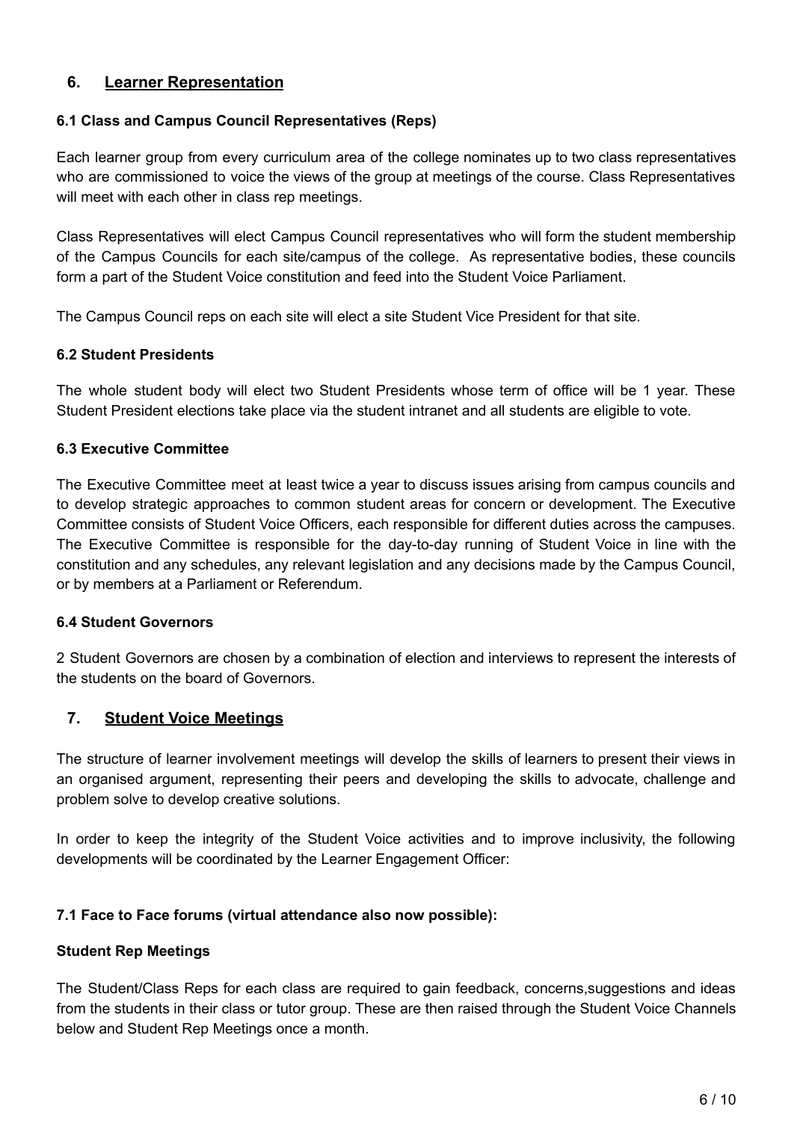# **6. Learner Representation**

#### **6.1 Class and Campus Council Representatives (Reps)**

Each learner group from every curriculum area of the college nominates up to two class representatives who are commissioned to voice the views of the group at meetings of the course. Class Representatives will meet with each other in class rep meetings.

Class Representatives will elect Campus Council representatives who will form the student membership of the Campus Councils for each site/campus of the college. As representative bodies, these councils form a part of the Student Voice constitution and feed into the Student Voice Parliament.

The Campus Council reps on each site will elect a site Student Vice President for that site.

#### **6.2 Student Presidents**

The whole student body will elect two Student Presidents whose term of office will be 1 year. These Student President elections take place via the student intranet and all students are eligible to vote.

#### **6.3 Executive Committee**

The Executive Committee meet at least twice a year to discuss issues arising from campus councils and to develop strategic approaches to common student areas for concern or development. The Executive Committee consists of Student Voice Officers, each responsible for different duties across the campuses. The Executive Committee is responsible for the day-to-day running of Student Voice in line with the constitution and any schedules, any relevant legislation and any decisions made by the Campus Council, or by members at a Parliament or Referendum.

#### **6.4 Student Governors**

2 Student Governors are chosen by a combination of election and interviews to represent the interests of the students on the board of Governors.

### **7. Student Voice Meetings**

The structure of learner involvement meetings will develop the skills of learners to present their views in an organised argument, representing their peers and developing the skills to advocate, challenge and problem solve to develop creative solutions.

In order to keep the integrity of the Student Voice activities and to improve inclusivity, the following developments will be coordinated by the Learner Engagement Officer:

### **7.1 Face to Face forums (virtual attendance also now possible):**

#### **Student Rep Meetings**

The Student/Class Reps for each class are required to gain feedback, concerns,suggestions and ideas from the students in their class or tutor group. These are then raised through the Student Voice Channels below and Student Rep Meetings once a month.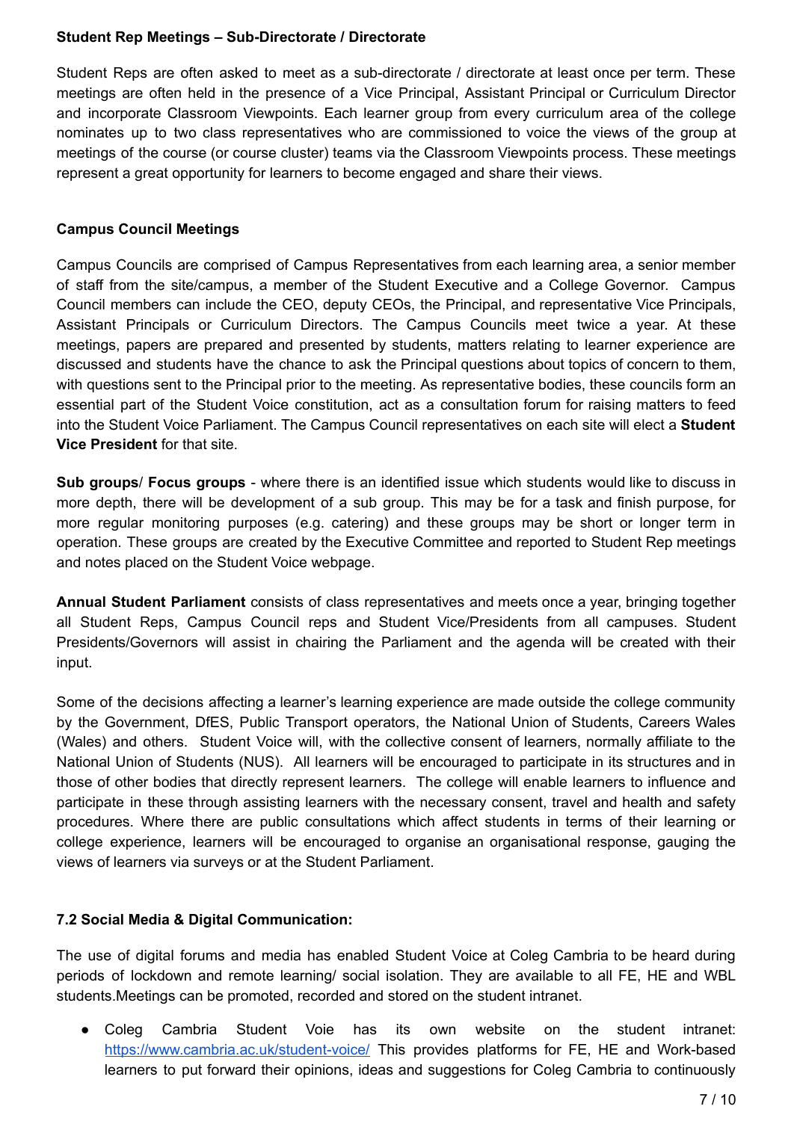#### **Student Rep Meetings – Sub-Directorate / Directorate**

Student Reps are often asked to meet as a sub-directorate / directorate at least once per term. These meetings are often held in the presence of a Vice Principal, Assistant Principal or Curriculum Director and incorporate Classroom Viewpoints. Each learner group from every curriculum area of the college nominates up to two class representatives who are commissioned to voice the views of the group at meetings of the course (or course cluster) teams via the Classroom Viewpoints process. These meetings represent a great opportunity for learners to become engaged and share their views.

#### **Campus Council Meetings**

Campus Councils are comprised of Campus Representatives from each learning area, a senior member of staff from the site/campus, a member of the Student Executive and a College Governor. Campus Council members can include the CEO, deputy CEOs, the Principal, and representative Vice Principals, Assistant Principals or Curriculum Directors. The Campus Councils meet twice a year. At these meetings, papers are prepared and presented by students, matters relating to learner experience are discussed and students have the chance to ask the Principal questions about topics of concern to them, with questions sent to the Principal prior to the meeting. As representative bodies, these councils form an essential part of the Student Voice constitution, act as a consultation forum for raising matters to feed into the Student Voice Parliament. The Campus Council representatives on each site will elect a **Student Vice President** for that site.

**Sub groups**/ **Focus groups** - where there is an identified issue which students would like to discuss in more depth, there will be development of a sub group. This may be for a task and finish purpose, for more regular monitoring purposes (e.g. catering) and these groups may be short or longer term in operation. These groups are created by the Executive Committee and reported to Student Rep meetings and notes placed on the Student Voice webpage.

**Annual Student Parliament** consists of class representatives and meets once a year, bringing together all Student Reps, Campus Council reps and Student Vice/Presidents from all campuses. Student Presidents/Governors will assist in chairing the Parliament and the agenda will be created with their input.

Some of the decisions affecting a learner's learning experience are made outside the college community by the Government, DfES, Public Transport operators, the National Union of Students, Careers Wales (Wales) and others. Student Voice will, with the collective consent of learners, normally affiliate to the National Union of Students (NUS). All learners will be encouraged to participate in its structures and in those of other bodies that directly represent learners. The college will enable learners to influence and participate in these through assisting learners with the necessary consent, travel and health and safety procedures. Where there are public consultations which affect students in terms of their learning or college experience, learners will be encouraged to organise an organisational response, gauging the views of learners via surveys or at the Student Parliament.

### **7.2 Social Media & Digital Communication:**

The use of digital forums and media has enabled Student Voice at Coleg Cambria to be heard during periods of lockdown and remote learning/ social isolation. They are available to all FE, HE and WBL students.Meetings can be promoted, recorded and stored on the student intranet.

● Coleg Cambria Student Voie has its own website on the student intranet: <https://www.cambria.ac.uk/student-voice/> This provides platforms for FE, HE and Work-based learners to put forward their opinions, ideas and suggestions for Coleg Cambria to continuously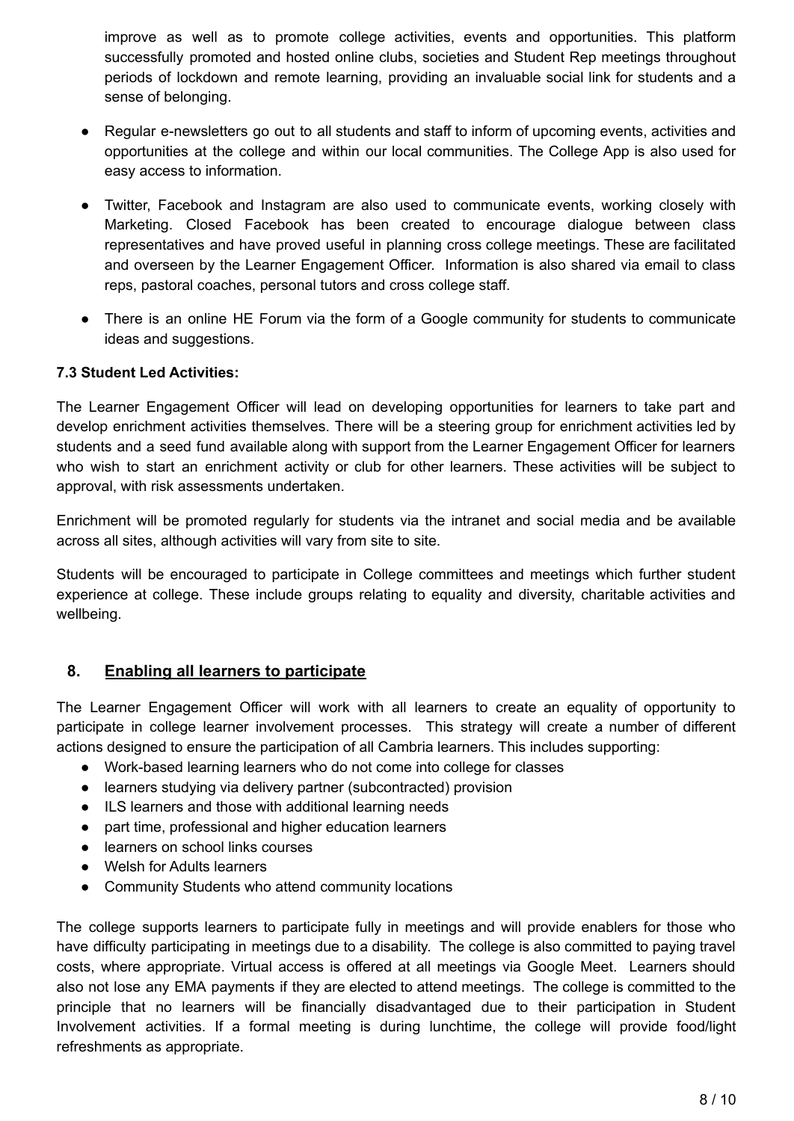improve as well as to promote college activities, events and opportunities. This platform successfully promoted and hosted online clubs, societies and Student Rep meetings throughout periods of lockdown and remote learning, providing an invaluable social link for students and a sense of belonging.

- Regular e-newsletters go out to all students and staff to inform of upcoming events, activities and opportunities at the college and within our local communities. The College App is also used for easy access to information.
- Twitter, Facebook and Instagram are also used to communicate events, working closely with Marketing. Closed Facebook has been created to encourage dialogue between class representatives and have proved useful in planning cross college meetings. These are facilitated and overseen by the Learner Engagement Officer. Information is also shared via email to class reps, pastoral coaches, personal tutors and cross college staff.
- There is an online HE Forum via the form of a Google community for students to communicate ideas and suggestions.

### **7.3 Student Led Activities:**

The Learner Engagement Officer will lead on developing opportunities for learners to take part and develop enrichment activities themselves. There will be a steering group for enrichment activities led by students and a seed fund available along with support from the Learner Engagement Officer for learners who wish to start an enrichment activity or club for other learners. These activities will be subject to approval, with risk assessments undertaken.

Enrichment will be promoted regularly for students via the intranet and social media and be available across all sites, although activities will vary from site to site.

Students will be encouraged to participate in College committees and meetings which further student experience at college. These include groups relating to equality and diversity, charitable activities and wellbeing.

### **8. Enabling all learners to participate**

The Learner Engagement Officer will work with all learners to create an equality of opportunity to participate in college learner involvement processes. This strategy will create a number of different actions designed to ensure the participation of all Cambria learners. This includes supporting:

- Work-based learning learners who do not come into college for classes
- learners studying via delivery partner (subcontracted) provision
- ILS learners and those with additional learning needs
- part time, professional and higher education learners
- learners on school links courses
- Welsh for Adults learners
- Community Students who attend community locations

The college supports learners to participate fully in meetings and will provide enablers for those who have difficulty participating in meetings due to a disability. The college is also committed to paying travel costs, where appropriate. Virtual access is offered at all meetings via Google Meet. Learners should also not lose any EMA payments if they are elected to attend meetings. The college is committed to the principle that no learners will be financially disadvantaged due to their participation in Student Involvement activities. If a formal meeting is during lunchtime, the college will provide food/light refreshments as appropriate.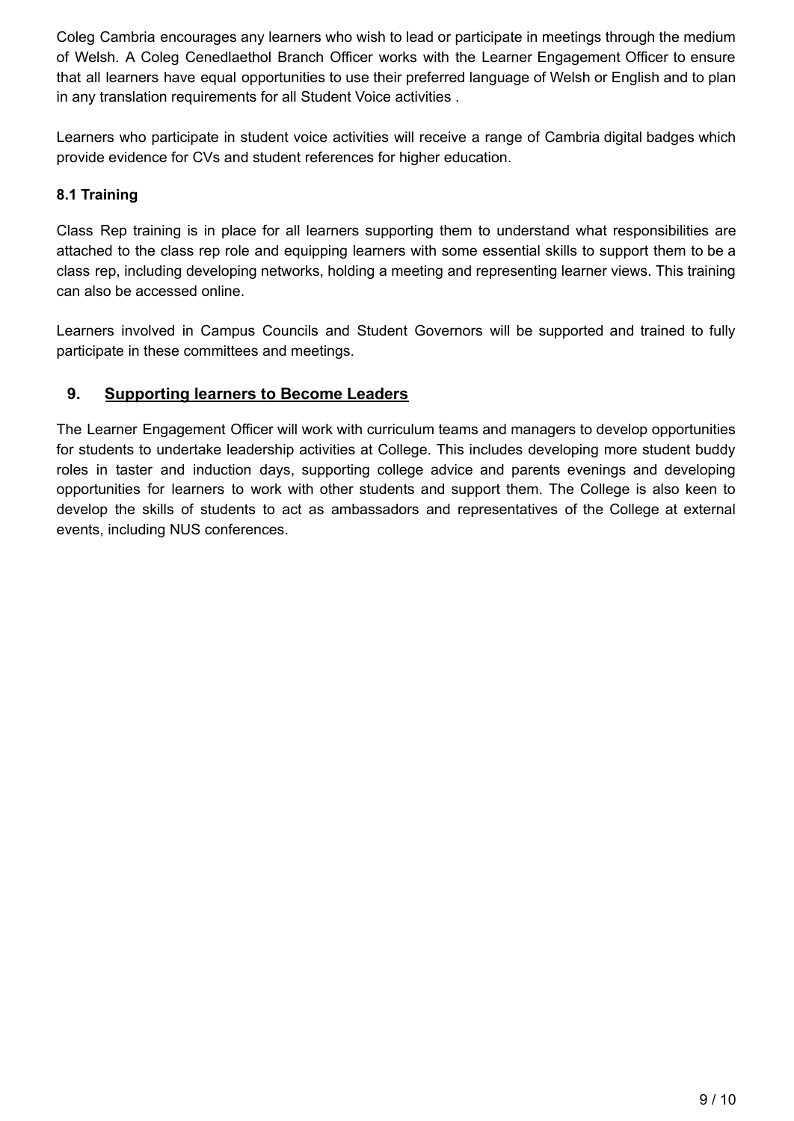Coleg Cambria encourages any learners who wish to lead or participate in meetings through the medium of Welsh. A Coleg Cenedlaethol Branch Officer works with the Learner Engagement Officer to ensure that all learners have equal opportunities to use their preferred language of Welsh or English and to plan in any translation requirements for all Student Voice activities .

Learners who participate in student voice activities will receive a range of Cambria digital badges which provide evidence for CVs and student references for higher education.

# **8.1 Training**

Class Rep training is in place for all learners supporting them to understand what responsibilities are attached to the class rep role and equipping learners with some essential skills to support them to be a class rep, including developing networks, holding a meeting and representing learner views. This training can also be accessed online.

Learners involved in Campus Councils and Student Governors will be supported and trained to fully participate in these committees and meetings.

# **9. Supporting learners to Become Leaders**

The Learner Engagement Officer will work with curriculum teams and managers to develop opportunities for students to undertake leadership activities at College. This includes developing more student buddy roles in taster and induction days, supporting college advice and parents evenings and developing opportunities for learners to work with other students and support them. The College is also keen to develop the skills of students to act as ambassadors and representatives of the College at external events, including NUS conferences.